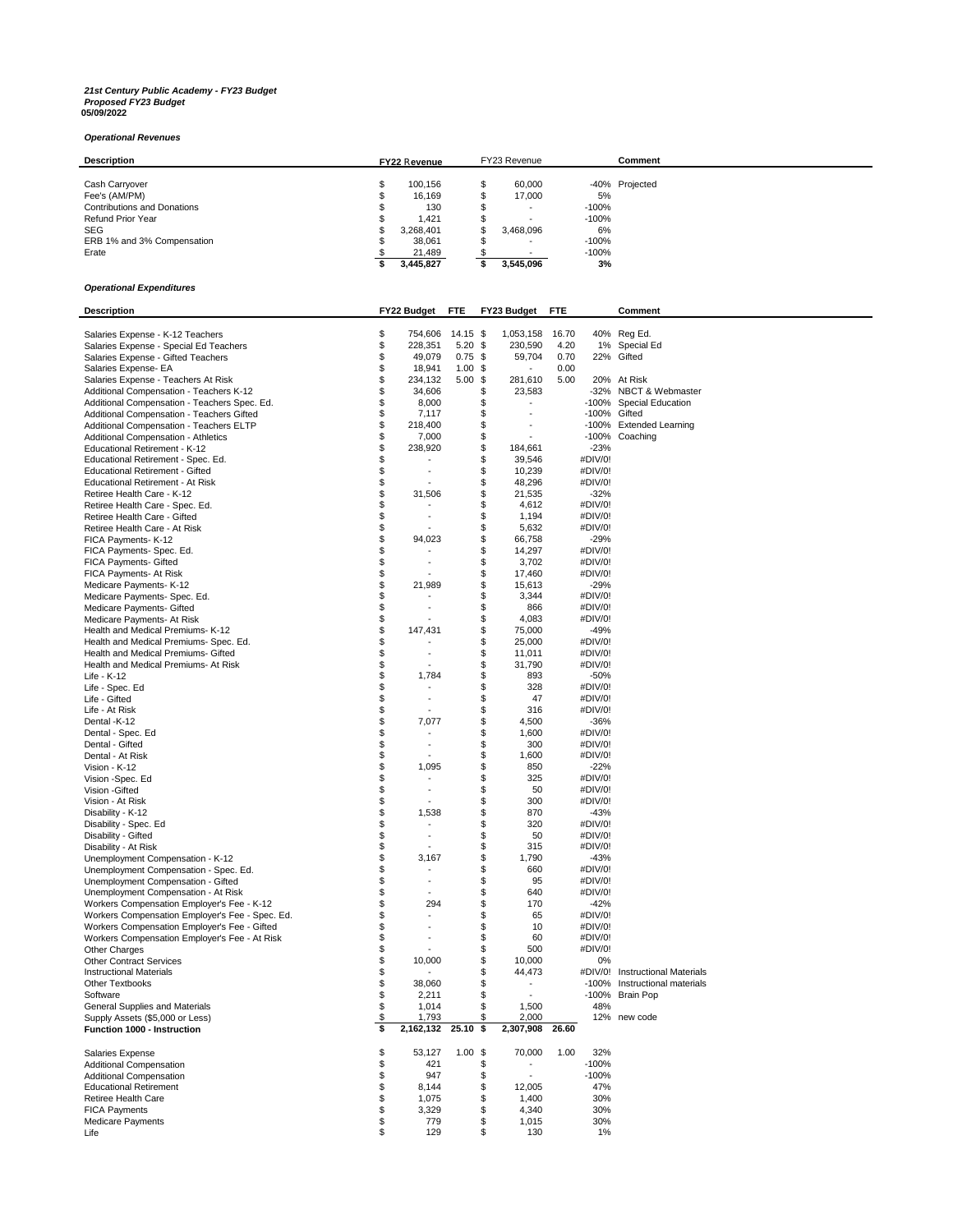## *21st Century Public Academy - FY23 Budget Proposed FY23 Budget* **05/09/2022**

## *Operational Revenues*

| <b>Description</b>                 | <b>FY22 Revenue</b> |           | FY23 Revenue             |         | Comment        |
|------------------------------------|---------------------|-----------|--------------------------|---------|----------------|
|                                    |                     |           |                          |         |                |
| Cash Carryover                     |                     | 100.156   | 60,000                   |         | -40% Projected |
| Fee's (AM/PM)                      |                     | 16,169    | 17,000                   | 5%      |                |
| <b>Contributions and Donations</b> |                     | 130       | $\overline{\phantom{a}}$ | $-100%$ |                |
| Refund Prior Year                  |                     | 1.421     |                          | $-100%$ |                |
| <b>SEG</b>                         |                     | 3,268,401 | 3,468,096                | 6%      |                |
| ERB 1% and 3% Compensation         |                     | 38.061    | $\overline{\phantom{a}}$ | $-100%$ |                |
| Erate                              |                     | 21,489    |                          | $-100%$ |                |
|                                    |                     | 3,445,827 | 3.545.096                | 3%      |                |

## *Operational Expenditures*

| <b>Description</b>                                                  | FY22 Budget                    | FTE        |          | FY23 Budget              | <b>FTE</b> |              | Comment                         |
|---------------------------------------------------------------------|--------------------------------|------------|----------|--------------------------|------------|--------------|---------------------------------|
|                                                                     |                                |            |          |                          |            |              |                                 |
| Salaries Expense - K-12 Teachers                                    | \$<br>754,606 14.15 \$         |            |          | 1,053,158                | 16.70      |              | 40% Reg Ed.                     |
| Salaries Expense - Special Ed Teachers                              | \$<br>228,351                  | $5.20$ \$  |          | 230,590                  | 4.20       |              | 1% Special Ed                   |
| Salaries Expense - Gifted Teachers                                  | \$<br>49,079                   | $0.75$ \$  |          | 59,704                   | 0.70       |              | 22% Gifted                      |
| Salaries Expense- EA                                                | \$<br>18,941                   | $1.00$ \$  |          |                          | 0.00       |              |                                 |
| Salaries Expense - Teachers At Risk                                 | \$<br>234,132                  | $5.00$ \$  |          | 281,610                  | 5.00       |              | 20% At Risk                     |
| Additional Compensation - Teachers K-12                             | \$<br>34,606                   |            | \$       | 23,583                   |            |              | -32% NBCT & Webmaster           |
| Additional Compensation - Teachers Spec. Ed.                        | \$<br>8,000                    |            | \$       | $\overline{\phantom{a}}$ |            | -100%        | <b>Special Education</b>        |
| Additional Compensation - Teachers Gifted                           | \$<br>7,117                    |            | \$       | $\blacksquare$           |            | -100% Gifted |                                 |
| Additional Compensation - Teachers ELTP                             | \$<br>218,400                  |            | \$       |                          |            |              | -100% Extended Learning         |
| Additional Compensation - Athletics                                 | \$<br>7,000                    |            | \$       |                          |            |              | -100% Coaching                  |
| Educational Retirement - K-12                                       | \$<br>238,920                  |            | \$       | 184,661                  |            | $-23%$       |                                 |
| Educational Retirement - Spec. Ed.                                  | \$<br>$\overline{\phantom{a}}$ |            | \$       | 39,546                   |            | #DIV/0!      |                                 |
|                                                                     | \$<br>÷                        |            | \$       | 10,239                   |            | #DIV/0!      |                                 |
| Educational Retirement - Gifted<br>Educational Retirement - At Risk | \$                             |            | \$       | 48,296                   |            | #DIV/0!      |                                 |
|                                                                     | \$                             |            |          |                          |            |              |                                 |
| Retiree Health Care - K-12                                          | 31,506                         |            | \$<br>\$ | 21,535                   |            | $-32%$       |                                 |
| Retiree Health Care - Spec. Ed.                                     | \$                             |            |          | 4,612                    |            | #DIV/0!      |                                 |
| Retiree Health Care - Gifted                                        | \$                             |            | \$       | 1,194                    |            | #DIV/0!      |                                 |
| Retiree Health Care - At Risk                                       | \$                             |            | \$       | 5,632                    |            | #DIV/0!      |                                 |
| FICA Payments- K-12                                                 | \$<br>94,023                   |            | \$       | 66,758                   |            | $-29%$       |                                 |
| FICA Payments- Spec. Ed.                                            | \$                             |            | \$       | 14,297                   |            | #DIV/0!      |                                 |
| FICA Payments- Gifted                                               | \$                             |            | \$       | 3,702                    |            | #DIV/0!      |                                 |
| FICA Payments- At Risk                                              | \$                             |            | \$       | 17,460                   |            | #DIV/0!      |                                 |
| Medicare Payments- K-12                                             | \$<br>21,989                   |            | \$       | 15,613                   |            | $-29%$       |                                 |
| Medicare Payments- Spec. Ed.                                        | \$<br>÷                        |            | \$       | 3,344                    |            | #DIV/0!      |                                 |
| Medicare Payments- Gifted                                           | \$                             |            | \$       | 866                      |            | #DIV/0!      |                                 |
| Medicare Payments- At Risk                                          | \$                             |            | \$       | 4,083                    |            | #DIV/0!      |                                 |
| Health and Medical Premiums- K-12                                   | \$<br>147,431                  |            | \$       | 75,000                   |            | $-49%$       |                                 |
| Health and Medical Premiums- Spec. Ed.                              | \$                             |            | \$       | 25,000                   |            | #DIV/0!      |                                 |
| Health and Medical Premiums- Gifted                                 | \$<br>ä,                       |            | \$       | 11,011                   |            | #DIV/0!      |                                 |
| Health and Medical Premiums- At Risk                                | \$                             |            | \$       | 31,790                   |            | #DIV/0!      |                                 |
| Life - K-12                                                         | \$<br>1,784                    |            | \$       | 893                      |            | $-50%$       |                                 |
| Life - Spec. Ed                                                     | \$                             |            | \$       | 328                      |            | #DIV/0!      |                                 |
| Life - Gifted                                                       | \$<br>÷,                       |            | \$       | 47                       |            | #DIV/0!      |                                 |
| Life - At Risk                                                      | \$                             |            | \$       | 316                      |            | #DIV/0!      |                                 |
| Dental -K-12                                                        | \$<br>7,077                    |            | \$       | 4,500                    |            | -36%         |                                 |
| Dental - Spec. Ed                                                   | \$                             |            | \$       | 1,600                    |            | #DIV/0!      |                                 |
| Dental - Gifted                                                     | \$<br>ä,                       |            | \$       | 300                      |            | #DIV/0!      |                                 |
| Dental - At Risk                                                    | \$                             |            | \$       |                          |            |              |                                 |
|                                                                     |                                |            |          | 1,600                    |            | #DIV/0!      |                                 |
| Vision - K-12                                                       | \$<br>1,095                    |            | \$       | 850                      |            | $-22%$       |                                 |
| Vision -Spec. Ed                                                    | \$<br>٠                        |            | \$       | 325                      |            | #DIV/0!      |                                 |
| Vision - Gifted                                                     | \$                             |            | \$       | 50                       |            | #DIV/0!      |                                 |
| Vision - At Risk                                                    | \$                             |            | \$       | 300                      |            | #DIV/0!      |                                 |
| Disability - K-12                                                   | \$<br>1,538                    |            | \$       | 870                      |            | $-43%$       |                                 |
| Disability - Spec. Ed                                               | \$<br>÷,                       |            | \$       | 320                      |            | #DIV/0!      |                                 |
| Disability - Gifted                                                 | \$                             |            | \$       | 50                       |            | #DIV/0!      |                                 |
| Disability - At Risk                                                | \$                             |            | \$       | 315                      |            | #DIV/0!      |                                 |
| Unemployment Compensation - K-12                                    | \$<br>3,167                    |            | \$       | 1,790                    |            | $-43%$       |                                 |
| Unemployment Compensation - Spec. Ed.                               | \$                             |            | \$       | 660                      |            | #DIV/0!      |                                 |
| Unemployment Compensation - Gifted                                  | \$<br>÷,                       |            | \$       | 95                       |            | #DIV/0!      |                                 |
| Unemployment Compensation - At Risk                                 | \$                             |            | \$       | 640                      |            | #DIV/0!      |                                 |
| Workers Compensation Employer's Fee - K-12                          | \$<br>294                      |            | \$       | 170                      |            | $-42%$       |                                 |
| Workers Compensation Employer's Fee - Spec. Ed.                     | \$<br>÷,                       |            | \$       | 65                       |            | #DIV/0!      |                                 |
| Workers Compensation Employer's Fee - Gifted                        | \$                             |            | \$       | 10                       |            | #DIV/0!      |                                 |
| Workers Compensation Employer's Fee - At Risk                       | \$<br>ä,                       |            | \$       | 60                       |            | #DIV/0!      |                                 |
| <b>Other Charges</b>                                                | \$                             |            | \$       | 500                      |            | #DIV/0!      |                                 |
| <b>Other Contract Services</b>                                      | \$<br>10,000                   |            | \$       | 10,000                   |            | 0%           |                                 |
| <b>Instructional Materials</b>                                      | \$                             |            | \$       | 44,473                   |            |              | #DIV/0! Instructional Materials |
| Other Textbooks                                                     | \$<br>38,060                   |            | \$       |                          |            |              | -100% Instructional materials   |
| Software                                                            | \$<br>2,211                    |            | \$       |                          |            |              | -100% Brain Pop                 |
| General Supplies and Materials                                      | \$<br>1,014                    |            | \$       | 1,500                    |            | 48%          |                                 |
| Supply Assets (\$5,000 or Less)                                     | \$<br>1,793                    |            | \$       | 2,000                    |            |              | 12% new code                    |
| Function 1000 - Instruction                                         | \$<br>2,162,132                | $25.10$ \$ |          | 2,307,908                | 26.60      |              |                                 |
|                                                                     |                                |            |          |                          |            |              |                                 |
| Salaries Expense                                                    | \$<br>53,127                   | $1.00$ \$  |          | 70,000                   | 1.00       | 32%          |                                 |
| <b>Additional Compensation</b>                                      | \$<br>421                      |            | \$       |                          |            | $-100%$      |                                 |
| Additional Compensation                                             | \$<br>947                      |            | \$       |                          |            | $-100%$      |                                 |
| <b>Educational Retirement</b>                                       | \$<br>8,144                    |            | \$       | 12,005                   |            | 47%          |                                 |
| Retiree Health Care                                                 | \$<br>1,075                    |            | \$       | 1,400                    |            | 30%          |                                 |
| <b>FICA Payments</b>                                                | \$<br>3,329                    |            | \$       | 4,340                    |            | 30%          |                                 |
| Medicare Payments                                                   | \$<br>779                      |            | \$       | 1,015                    |            | 30%          |                                 |
| Life                                                                | \$<br>129                      |            | \$       | 130                      |            | 1%           |                                 |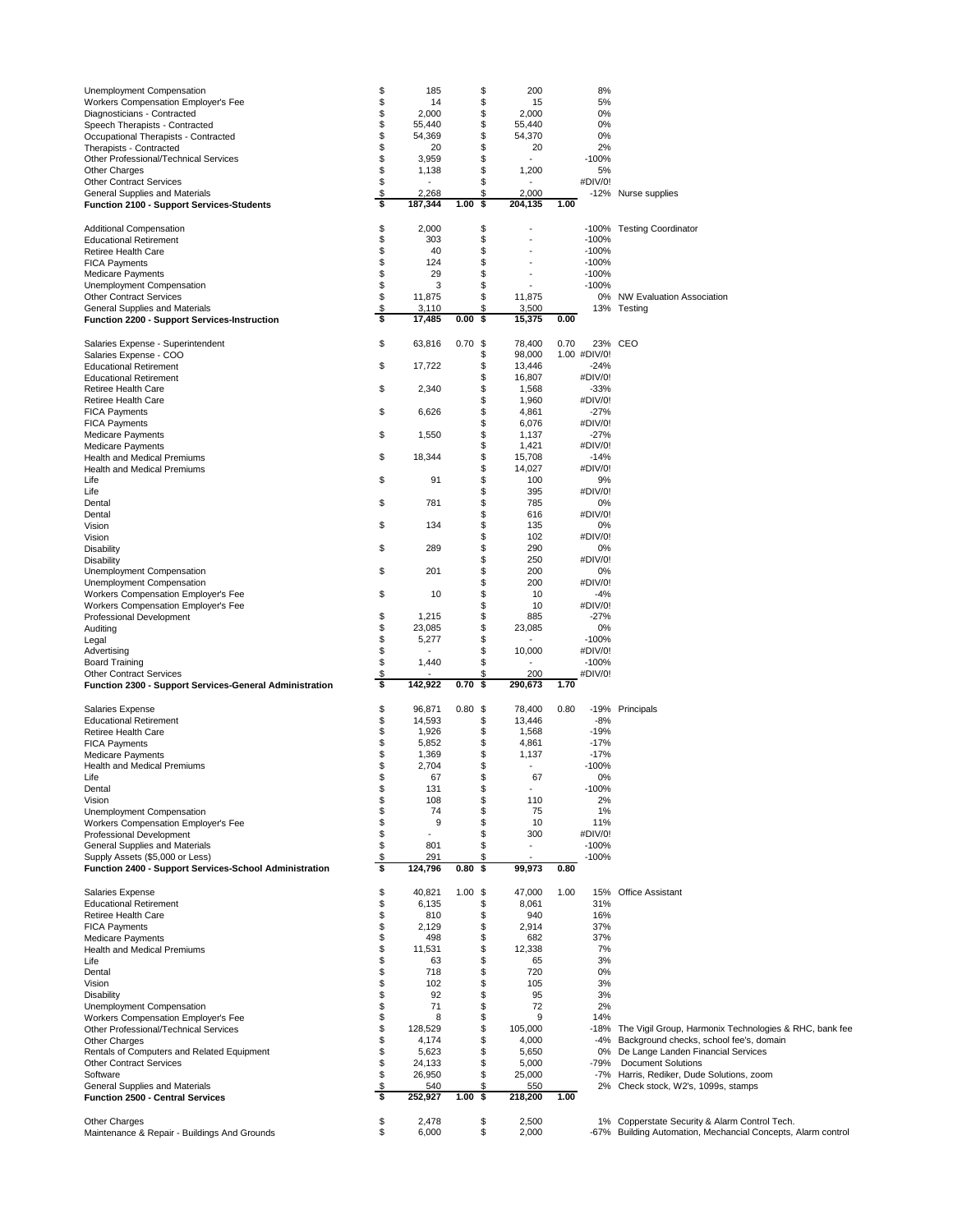| Unemployment Compensation                                                                 | \$       | 185              |                    | \$<br>200                             | 8%                 |                                                                                                               |
|-------------------------------------------------------------------------------------------|----------|------------------|--------------------|---------------------------------------|--------------------|---------------------------------------------------------------------------------------------------------------|
| Workers Compensation Employer's Fee<br>Diagnosticians - Contracted                        | \$<br>\$ | 14<br>2,000      |                    | \$<br>15<br>\$<br>2,000               | 5%<br>0%           |                                                                                                               |
| Speech Therapists - Contracted                                                            | \$       | 55,440           |                    | \$<br>55,440                          | 0%                 |                                                                                                               |
| Occupational Therapists - Contracted                                                      | \$       | 54,369           |                    | \$<br>54,370                          | 0%                 |                                                                                                               |
| Therapists - Contracted<br>Other Professional/Technical Services                          | \$<br>\$ | 20<br>3,959      |                    | \$<br>20<br>\$                        | 2%<br>$-100%$      |                                                                                                               |
| Other Charges                                                                             | \$       | 1,138            |                    | \$<br>1,200                           | 5%                 |                                                                                                               |
| <b>Other Contract Services</b>                                                            | \$       |                  |                    | \$                                    | #DIV/0!            |                                                                                                               |
| General Supplies and Materials<br><b>Function 2100 - Support Services-Students</b>        | \$<br>\$ | 2,268<br>187,344 | 1.00               | \$<br>2,000<br>\$<br>204,135          | 1.00               | -12% Nurse supplies                                                                                           |
|                                                                                           |          |                  |                    |                                       |                    |                                                                                                               |
| Additional Compensation                                                                   | \$       | 2,000            |                    | \$                                    |                    | -100% Testing Coordinator                                                                                     |
| <b>Educational Retirement</b><br>Retiree Health Care                                      | \$<br>\$ | 303<br>40        |                    | \$<br>\$                              | $-100%$<br>$-100%$ |                                                                                                               |
| <b>FICA Payments</b>                                                                      | \$       | 124              |                    | \$                                    | $-100%$            |                                                                                                               |
| Medicare Payments                                                                         | \$       | 29               |                    | \$                                    | $-100%$            |                                                                                                               |
| Unemployment Compensation<br><b>Other Contract Services</b>                               | \$<br>\$ | 3<br>11,875      |                    | \$<br>\$<br>11,875                    | $-100%$            | 0% NW Evaluation Association                                                                                  |
| General Supplies and Materials                                                            | \$       | 3,110            |                    | \$<br>3,500                           |                    | 13% Testing                                                                                                   |
| <b>Function 2200 - Support Services-Instruction</b>                                       | \$       | 17,485           | 0.00               | \$<br>15,375                          | 0.00               |                                                                                                               |
| Salaries Expense - Superintendent                                                         | \$       | 63,816           | 0.70               | \$<br>78,400                          | 0.70               | 23% CEO                                                                                                       |
| Salaries Expense - COO                                                                    |          |                  |                    | \$<br>98,000                          | 1.00 #DIV/0!       |                                                                                                               |
| <b>Educational Retirement</b>                                                             | \$       | 17,722           |                    | \$<br>13,446                          | $-24%$             |                                                                                                               |
| <b>Educational Retirement</b><br>Retiree Health Care                                      | \$       | 2,340            |                    | \$<br>16,807<br>\$<br>1,568           | #DIV/0!<br>$-33%$  |                                                                                                               |
| Retiree Health Care                                                                       |          |                  |                    | \$<br>1,960                           | #DIV/0!            |                                                                                                               |
| <b>FICA Payments</b>                                                                      | \$       | 6,626            |                    | \$<br>4,861                           | $-27%$             |                                                                                                               |
| <b>FICA Payments</b>                                                                      |          |                  |                    | \$<br>6,076                           | #DIV/0!            |                                                                                                               |
| <b>Medicare Payments</b><br><b>Medicare Payments</b>                                      | \$       | 1,550            |                    | \$<br>1,137<br>\$<br>1,421            | $-27%$<br>#DIV/0!  |                                                                                                               |
| Health and Medical Premiums                                                               | \$       | 18,344           |                    | \$<br>15,708                          | $-14%$             |                                                                                                               |
| Health and Medical Premiums                                                               |          |                  |                    | \$<br>14,027                          | #DIV/0!            |                                                                                                               |
| Life                                                                                      | \$       | 91               |                    | \$<br>100<br>\$                       | 9%                 |                                                                                                               |
| Life<br>Dental                                                                            | \$       | 781              |                    | 395<br>\$<br>785                      | #DIV/0!<br>0%      |                                                                                                               |
| Dental                                                                                    |          |                  |                    | \$<br>616                             | #DIV/0!            |                                                                                                               |
| Vision                                                                                    | \$       | 134              |                    | \$<br>135                             | 0%                 |                                                                                                               |
| Vision                                                                                    |          |                  |                    | \$<br>102                             | #DIV/0!            |                                                                                                               |
| <b>Disability</b><br><b>Disability</b>                                                    | \$       | 289              |                    | \$<br>290<br>\$<br>250                | 0%<br>#DIV/0!      |                                                                                                               |
| Unemployment Compensation                                                                 | \$       | 201              |                    | \$<br>200                             | 0%                 |                                                                                                               |
| Unemployment Compensation                                                                 |          |                  |                    | \$<br>200                             | #DIV/0!            |                                                                                                               |
| Workers Compensation Employer's Fee                                                       | \$       | 10               |                    | \$<br>10                              | $-4%$              |                                                                                                               |
| Workers Compensation Employer's Fee                                                       |          |                  |                    | \$<br>10                              | #DIV/0!            |                                                                                                               |
|                                                                                           |          |                  |                    |                                       |                    |                                                                                                               |
| Professional Development                                                                  | \$       | 1,215            |                    | \$<br>885                             | $-27%$             |                                                                                                               |
| Auditing<br>Legal                                                                         | \$<br>\$ | 23,085<br>5,277  |                    | \$<br>23,085<br>\$                    | 0%<br>$-100%$      |                                                                                                               |
| Advertising                                                                               | \$       |                  |                    | \$<br>10,000                          | #DIV/0!            |                                                                                                               |
| <b>Board Training</b>                                                                     | \$       | 1,440            |                    | \$                                    | $-100%$            |                                                                                                               |
| <b>Other Contract Services</b><br>Function 2300 - Support Services-General Administration | \$<br>\$ | 142,922          | 0.70               | \$<br>200<br>\$<br>290,673            | #DIV/0!<br>1.70    |                                                                                                               |
|                                                                                           |          |                  |                    |                                       |                    |                                                                                                               |
| Salaries Expense                                                                          | \$       | 96,871           | 0.80               | \$<br>78,400                          | 0.80               | -19% Principals                                                                                               |
| <b>Educational Retirement</b>                                                             | \$       | 14,593           |                    | \$<br>13,446                          | $-8%$              |                                                                                                               |
| Retiree Health Care<br><b>FICA Payments</b>                                               | \$<br>\$ | 1,926<br>5,852   |                    | \$<br>1,568<br>\$<br>4,861            | $-19%$<br>$-17%$   |                                                                                                               |
| <b>Medicare Payments</b>                                                                  | \$       | 1,369            |                    | \$<br>1,137                           | $-17%$             |                                                                                                               |
| Health and Medical Premiums                                                               | \$       | 2,704            |                    | \$<br>$\sim$                          | $-100%$            |                                                                                                               |
| Life                                                                                      | \$       | 67               |                    | \$<br>67<br>$\blacksquare$            | 0%                 |                                                                                                               |
| Dental<br>Vision                                                                          | \$<br>\$ | 131<br>108       |                    | \$<br>\$<br>110                       | $-100%$<br>2%      |                                                                                                               |
| Unemployment Compensation                                                                 | \$       | 74               |                    | \$<br>75                              | 1%                 |                                                                                                               |
| Workers Compensation Employer's Fee                                                       | \$       | 9                |                    | \$<br>10                              | 11%                |                                                                                                               |
| Professional Development                                                                  | \$       |                  |                    | \$<br>300<br>$\overline{\phantom{a}}$ | #DIV/0!            |                                                                                                               |
| General Supplies and Materials<br>Supply Assets (\$5,000 or Less)                         | \$<br>\$ | 801<br>291       |                    | \$<br>\$                              | $-100%$<br>$-100%$ |                                                                                                               |
| Function 2400 - Support Services-School Administration                                    | \$       | 124,796          | 0.80               | \$<br>99,973                          | 0.80               |                                                                                                               |
| Salaries Expense                                                                          |          |                  |                    |                                       | 1.00               | 15% Office Assistant                                                                                          |
| <b>Educational Retirement</b>                                                             | \$<br>\$ | 40,821<br>6,135  | $1.00 \text{ }$ \$ | 47,000<br>\$<br>8,061                 | 31%                |                                                                                                               |
| Retiree Health Care                                                                       | \$       | 810              |                    | \$<br>940                             | 16%                |                                                                                                               |
| <b>FICA Payments</b>                                                                      | \$       | 2,129            |                    | \$<br>2,914                           | 37%                |                                                                                                               |
| Medicare Payments                                                                         | \$       | 498              |                    | \$<br>682                             | 37%                |                                                                                                               |
| Health and Medical Premiums<br>Life                                                       | \$<br>\$ | 11,531<br>63     |                    | \$<br>12,338<br>\$<br>65              | 7%<br>3%           |                                                                                                               |
| Dental                                                                                    | \$       | 718              |                    | \$<br>720                             | 0%                 |                                                                                                               |
| Vision                                                                                    | \$       | 102              |                    | \$<br>105                             | 3%                 |                                                                                                               |
| Disability                                                                                | \$       | 92               |                    | \$<br>95                              | 3%                 |                                                                                                               |
| Unemployment Compensation<br>Workers Compensation Employer's Fee                          | \$<br>\$ | 71<br>8          |                    | \$<br>72<br>\$<br>9                   | 2%<br>14%          |                                                                                                               |
| Other Professional/Technical Services                                                     | \$       | 128,529          |                    | \$<br>105,000                         |                    | -18% The Vigil Group, Harmonix Technologies & RHC, bank fee                                                   |
| Other Charges                                                                             | \$       | 4,174            |                    | \$<br>4,000                           | -4%                | Background checks, school fee's, domain                                                                       |
| Rentals of Computers and Related Equipment                                                | \$       | 5,623            |                    | \$<br>5,650                           | -79%               | 0% De Lange Landen Financial Services<br><b>Document Solutions</b>                                            |
| <b>Other Contract Services</b><br>Software                                                | \$<br>\$ | 24,133<br>26,950 |                    | \$<br>5,000<br>\$<br>25,000           |                    | -7% Harris, Rediker, Dude Solutions, zoom                                                                     |
| General Supplies and Materials                                                            | \$       | 540              |                    | \$<br>550                             |                    | 2% Check stock, W2's, 1099s, stamps                                                                           |
| <b>Function 2500 - Central Services</b>                                                   | \$       | 252,927          | 1.00               | \$<br>218,200                         | 1.00               |                                                                                                               |
| <b>Other Charges</b>                                                                      | \$<br>\$ | 2,478<br>6,000   |                    | \$<br>2,500<br>\$<br>2,000            |                    | 1% Copperstate Security & Alarm Control Tech.<br>-67% Building Automation, Mechancial Concepts, Alarm control |